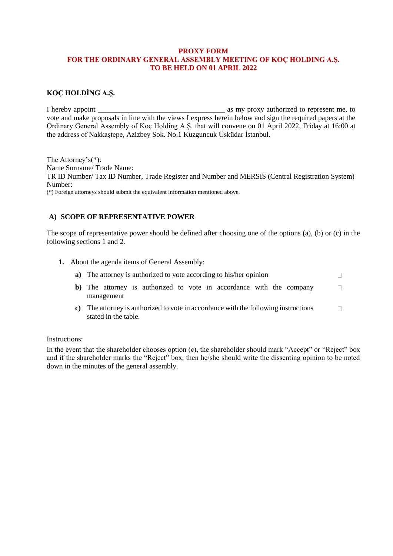## **PROXY FORM FOR THE ORDINARY GENERAL ASSEMBLY MEETING OF KOÇ HOLDING A.Ş. TO BE HELD ON 01 APRIL 2022**

## **KOÇ HOLDİNG A.Ş.**

I hereby appoint **a** as my proxy authorized to represent me, to vote and make proposals in line with the views I express herein below and sign the required papers at the Ordinary General Assembly of Koç Holding A.Ş. that will convene on 01 April 2022, Friday at 16:00 at the address of Nakkaştepe, Azizbey Sok. No.1 Kuzguncuk Üsküdar İstanbul.

The Attorney's(\*): Name Surname/ Trade Name: TR ID Number/ Tax ID Number, Trade Register and Number and MERSIS (Central Registration System) Number: (\*) Foreign attorneys should submit the equivalent information mentioned above.

# **A) SCOPE OF REPRESENTATIVE POWER**

stated in the table.

The scope of representative power should be defined after choosing one of the options (a), (b) or (c) in the following sections 1 and 2.

**1.** About the agenda items of General Assembly:

| a) The attorney is authorized to vote according to his/her opinion                  |              |
|-------------------------------------------------------------------------------------|--------------|
| b) The attorney is authorized to vote in accordance with the company<br>management  | $\mathbf{1}$ |
| c) The attorney is authorized to vote in accordance with the following instructions |              |

#### Instructions:

In the event that the shareholder chooses option (c), the shareholder should mark "Accept" or "Reject" box and if the shareholder marks the "Reject" box, then he/she should write the dissenting opinion to be noted down in the minutes of the general assembly.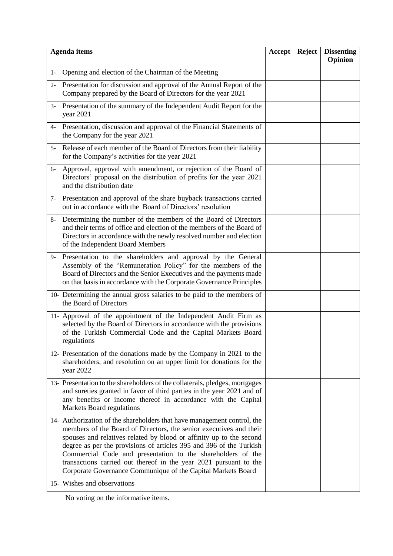| <b>Agenda</b> items                                                                                                                                                                                                                                                                                                                                                                                                                                                                                                            |  | Reject | <b>Dissenting</b><br>Opinion |
|--------------------------------------------------------------------------------------------------------------------------------------------------------------------------------------------------------------------------------------------------------------------------------------------------------------------------------------------------------------------------------------------------------------------------------------------------------------------------------------------------------------------------------|--|--------|------------------------------|
| Opening and election of the Chairman of the Meeting<br>$1-$                                                                                                                                                                                                                                                                                                                                                                                                                                                                    |  |        |                              |
| 2- Presentation for discussion and approval of the Annual Report of the<br>Company prepared by the Board of Directors for the year 2021                                                                                                                                                                                                                                                                                                                                                                                        |  |        |                              |
| Presentation of the summary of the Independent Audit Report for the<br>$3 -$<br>year 2021                                                                                                                                                                                                                                                                                                                                                                                                                                      |  |        |                              |
| Presentation, discussion and approval of the Financial Statements of<br>4-<br>the Company for the year 2021                                                                                                                                                                                                                                                                                                                                                                                                                    |  |        |                              |
| 5- Release of each member of the Board of Directors from their liability<br>for the Company's activities for the year 2021                                                                                                                                                                                                                                                                                                                                                                                                     |  |        |                              |
| Approval, approval with amendment, or rejection of the Board of<br>$6-$<br>Directors' proposal on the distribution of profits for the year 2021<br>and the distribution date                                                                                                                                                                                                                                                                                                                                                   |  |        |                              |
| Presentation and approval of the share buyback transactions carried<br>$7-$<br>out in accordance with the Board of Directors' resolution                                                                                                                                                                                                                                                                                                                                                                                       |  |        |                              |
| 8- Determining the number of the members of the Board of Directors<br>and their terms of office and election of the members of the Board of<br>Directors in accordance with the newly resolved number and election<br>of the Independent Board Members                                                                                                                                                                                                                                                                         |  |        |                              |
| Presentation to the shareholders and approval by the General<br>9-<br>Assembly of the "Remuneration Policy" for the members of the<br>Board of Directors and the Senior Executives and the payments made<br>on that basis in accordance with the Corporate Governance Principles                                                                                                                                                                                                                                               |  |        |                              |
| 10- Determining the annual gross salaries to be paid to the members of<br>the Board of Directors                                                                                                                                                                                                                                                                                                                                                                                                                               |  |        |                              |
| 11- Approval of the appointment of the Independent Audit Firm as<br>selected by the Board of Directors in accordance with the provisions<br>of the Turkish Commercial Code and the Capital Markets Board<br>regulations                                                                                                                                                                                                                                                                                                        |  |        |                              |
| 12- Presentation of the donations made by the Company in 2021 to the<br>shareholders, and resolution on an upper limit for donations for the<br>year 2022                                                                                                                                                                                                                                                                                                                                                                      |  |        |                              |
| 13- Presentation to the shareholders of the collaterals, pledges, mortgages<br>and sureties granted in favor of third parties in the year 2021 and of<br>any benefits or income thereof in accordance with the Capital<br>Markets Board regulations                                                                                                                                                                                                                                                                            |  |        |                              |
| 14- Authorization of the shareholders that have management control, the<br>members of the Board of Directors, the senior executives and their<br>spouses and relatives related by blood or affinity up to the second<br>degree as per the provisions of articles 395 and 396 of the Turkish<br>Commercial Code and presentation to the shareholders of the<br>transactions carried out thereof in the year 2021 pursuant to the<br>Corporate Governance Communique of the Capital Markets Board<br>15- Wishes and observations |  |        |                              |
|                                                                                                                                                                                                                                                                                                                                                                                                                                                                                                                                |  |        |                              |

No voting on the informative items.